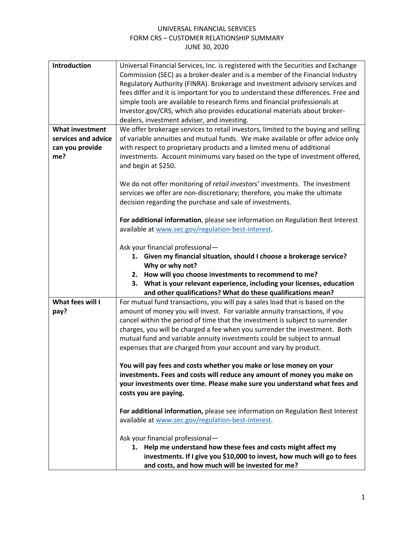## UNIVERSAL FINANCIAL SERVICES FORM CRS – CUSTOMER RELATIONSHIP SUMMARY JUNE 30, 2020

| Introduction           | Universal Financial Services, Inc. is registered with the Securities and Exchange  |
|------------------------|------------------------------------------------------------------------------------|
|                        | Commission (SEC) as a broker-dealer and is a member of the Financial Industry      |
|                        | Regulatory Authority (FINRA). Brokerage and investment advisory services and       |
|                        | fees differ and it is important for you to understand these differences. Free and  |
|                        | simple tools are available to research firms and financial professionals at        |
|                        | Investor.gov/CRS, which also provides educational materials about broker-          |
|                        | dealers, investment adviser, and investing.                                        |
| <b>What investment</b> | We offer brokerage services to retail investors, limited to the buying and selling |
| services and advice    | of variable annuities and mutual funds. We make available or offer advice only     |
| can you provide        | with respect to proprietary products and a limited menu of additional              |
| me?                    | investments. Account minimums vary based on the type of investment offered,        |
|                        | and begin at \$250.                                                                |
|                        |                                                                                    |
|                        | We do not offer monitoring of retail investors' investments. The investment        |
|                        | services we offer are non-discretionary; therefore, you make the ultimate          |
|                        | decision regarding the purchase and sale of investments.                           |
|                        |                                                                                    |
|                        | For additional information, please see information on Regulation Best Interest     |
|                        | available at www.sec.gov/regulation-best-interest.                                 |
|                        |                                                                                    |
|                        | Ask your financial professional-                                                   |
|                        | 1. Given my financial situation, should I choose a brokerage service?              |
|                        | Why or why not?                                                                    |
|                        | 2. How will you choose investments to recommend to me?                             |
|                        | 3.<br>What is your relevant experience, including your licenses, education         |
|                        | and other qualifications? What do these qualifications mean?                       |
| What fees will I       | For mutual fund transactions, you will pay a sales load that is based on the       |
| pay?                   | amount of money you will invest. For variable annuity transactions, if you         |
|                        | cancel within the period of time that the investment is subject to surrender       |
|                        | charges, you will be charged a fee when you surrender the investment. Both         |
|                        | mutual fund and variable annuity investments could be subject to annual            |
|                        | expenses that are charged from your account and vary by product.                   |
|                        |                                                                                    |
|                        | You will pay fees and costs whether you make or lose money on your                 |
|                        | investments. Fees and costs will reduce any amount of money you make on            |
|                        | your investments over time. Please make sure you understand what fees and          |
|                        | costs you are paying.                                                              |
|                        |                                                                                    |
|                        | For additional information, please see information on Regulation Best Interest     |
|                        | available at www.sec.gov/regulation-best-interest.                                 |
|                        |                                                                                    |
|                        | Ask your financial professional-                                                   |
|                        | 1. Help me understand how these fees and costs might affect my                     |
|                        | investments. If I give you \$10,000 to invest, how much will go to fees            |
|                        | and costs, and how much will be invested for me?                                   |
|                        |                                                                                    |